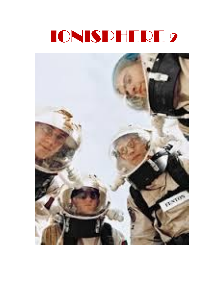## IONISPHERE 2

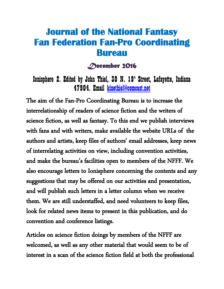### **Journal of the National Fantasy Fan Federation Fan-Pro Coordinating Bureau**

#### *December 2016*

Ionisphere 2. Edited by John Thiel, 30 N. 19<sup>th</sup> Street, Lafayette, Indiana 47904. Email [kinethiel@comcast.net](mailto:kinethiel@comcast.net)

The aim of the Fan-Pro Coordinating Bureau is to increase the interrelationship of readers of science fiction and the writers of science fiction, as well as fantasy. To this end we publish interviews with fans and with writers, make available the website URLs of the authors and artists, keep files of authors' email addresses, keep news of interrelating activities on view, including convention activities, and make the bureau's facilities open to members of the NFFF. We also encourage letters to Ionisphere concerning the contents and any suggestions that may be offered on our activities and presentation, and will publish such letters in a letter column when we receive them. We are still understaffed, and need volunteers to keep files, look for related news items to present in this publication, and do convention and conference listings.

Articles on science fiction doings by members of the NFFF are welcomed, as well as any other material that would seem to be of interest in a scan of the science fiction field at both the professional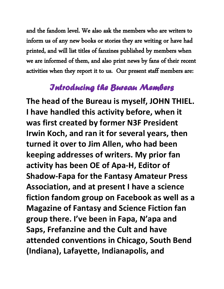and the fandom level. We also ask the members who are writers to inform us of any new books or stories they are writing or have had printed, and will list titles of fanzines published by members when we are informed of them, and also print news by fans of their recent activities when they report it to us. Our present staff members are:

### *Introducing the Bureau Members*

**The head of the Bureau is myself, JOHN THIEL. I have handled this activity before, when it was first created by former N3F President Irwin Koch, and ran it for several years, then turned it over to Jim Allen, who had been keeping addresses of writers. My prior fan activity has been OE of Apa-H, Editor of Shadow-Fapa for the Fantasy Amateur Press Association, and at present I have a science fiction fandom group on Facebook as well as a Magazine of Fantasy and Science Fiction fan group there. I've been in Fapa, N'apa and Saps, Frefanzine and the Cult and have attended conventions in Chicago, South Bend (Indiana), Lafayette, Indianapolis, and**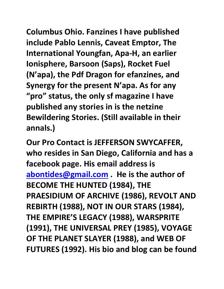**Columbus Ohio. Fanzines I have published include Pablo Lennis, Caveat Emptor, The International Youngfan, Apa-H, an earlier Ionisphere, Barsoon (Saps), Rocket Fuel (N'apa), the Pdf Dragon for efanzines, and Synergy for the present N'apa. As for any "pro" status, the only sf magazine I have published any stories in is the netzine Bewildering Stories. (Still available in their annals.)**

**Our Pro Contact is JEFFERSON SWYCAFFER, who resides in San Diego, California and has a facebook page. His email address is [abontides@gmail.com](mailto:abontides@gmail.com) . He is the author of BECOME THE HUNTED (1984), THE PRAESIDIUM OF ARCHIVE (1986), REVOLT AND REBIRTH (1988), NOT IN OUR STARS (1984), THE EMPIRE'S LEGACY (1988), WARSPRITE (1991), THE UNIVERSAL PREY (1985), VOYAGE OF THE PLANET SLAYER (1988), and WEB OF FUTURES (1992). His bio and blog can be found**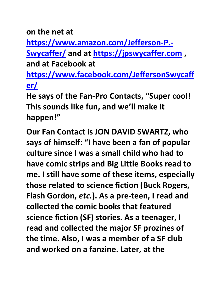**on the net at** 

**[https://www.amazon.com/Jefferson-P.-](https://www.amazon.com/Jefferson-P.-Swycaffer/)**

**[Swycaffer/](https://www.amazon.com/Jefferson-P.-Swycaffer/) and at [https://jpswycaffer.com](https://jpswycaffer.com/) , and at Facebook at** 

**[https://www.facebook.com/JeffersonSwycaff](https://www.facebook.com/JeffersonSwycaffer/) [er/](https://www.facebook.com/JeffersonSwycaffer/)**

**He says of the Fan-Pro Contacts, "Super cool! This sounds like fun, and we'll make it happen!"**

**Our Fan Contact is JON DAVID SWARTZ, who says of himself: "I have been a fan of popular culture since I was a small child who had to have comic strips and Big Little Books read to me. I still have some of these items, especially those related to science fiction (Buck Rogers, Flash Gordon,** *etc.***). As a pre-teen, I read and collected the comic books that featured science fiction (SF) stories. As a teenager, I read and collected the major SF prozines of the time. Also, I was a member of a SF club and worked on a fanzine. Later, at the**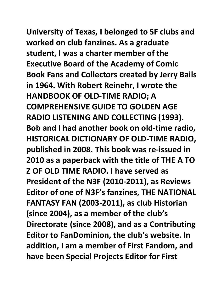**University of Texas, I belonged to SF clubs and** 

**worked on club fanzines. As a graduate student, I was a charter member of the Executive Board of the Academy of Comic Book Fans and Collectors created by Jerry Bails in 1964. With Robert Reinehr, I wrote the HANDBOOK OF OLD-TIME RADIO; A COMPREHENSIVE GUIDE TO GOLDEN AGE RADIO LISTENING AND COLLECTING (1993). Bob and I had another book on old-time radio, HISTORICAL DICTIONARY OF OLD-TIME RADIO, published in 2008. This book was re-issued in 2010 as a paperback with the title of THE A TO Z OF OLD TIME RADIO. I have served as President of the N3F (2010-2011), as Reviews Editor of one of N3F's fanzines, THE NATIONAL FANTASY FAN (2003-2011), as club Historian (since 2004), as a member of the club's Directorate (since 2008), and as a Contributing Editor to FanDominion, the club's website. In addition, I am a member of First Fandom, and have been Special Projects Editor for First**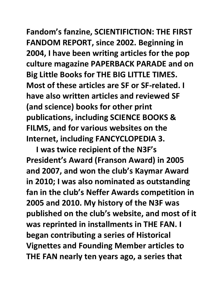# **Fandom's fanzine, SCIENTIFICTION: THE FIRST**

**FANDOM REPORT, since 2002. Beginning in 2004, I have been writing articles for the pop culture magazine PAPERBACK PARADE and on Big Little Books for THE BIG LITTLE TIMES. Most of these articles are SF or SF-related. I have also written articles and reviewed SF (and science) books for other print publications, including SCIENCE BOOKS & FILMS, and for various websites on the Internet, including FANCYCLOPEDIA 3.**

 **I was twice recipient of the N3F's President's Award (Franson Award) in 2005 and 2007, and won the club's Kaymar Award in 2010; I was also nominated as outstanding fan in the club's Neffer Awards competition in 2005 and 2010. My history of the N3F was published on the club's website, and most of it was reprinted in installments in THE FAN. I began contributing a series of Historical Vignettes and Founding Member articles to THE FAN nearly ten years ago, a series that**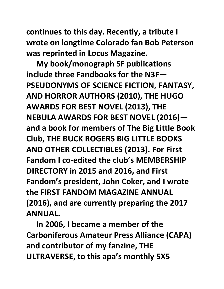**continues to this day. Recently, a tribute I wrote on longtime Colorado fan Bob Peterson was reprinted in Locus Magazine.**

 **My book/monograph SF publications include three Fandbooks for the N3F— PSEUDONYMS OF SCIENCE FICTION, FANTASY, AND HORROR AUTHORS (2010), THE HUGO AWARDS FOR BEST NOVEL (2013), THE NEBULA AWARDS FOR BEST NOVEL (2016) and a book for members of The Big Little Book Club, THE BUCK ROGERS BIG LITTLE BOOKS AND OTHER COLLECTIBLES (2013). For First Fandom I co-edited the club's MEMBERSHIP DIRECTORY in 2015 and 2016, and First Fandom's president, John Coker, and I wrote the FIRST FANDOM MAGAZINE ANNUAL (2016), and are currently preparing the 2017 ANNUAL.**

 **In 2006, I became a member of the Carboniferous Amateur Press Alliance (CAPA) and contributor of my fanzine, THE ULTRAVERSE, to this apa's monthly 5X5**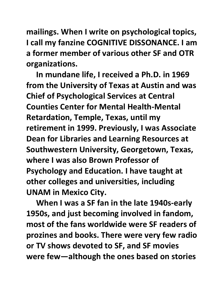**mailings. When I write on psychological topics, I call my fanzine COGNITIVE DISSONANCE. I am a former member of various other SF and OTR organizations.**

 **In mundane life, I received a Ph.D. in 1969 from the University of Texas at Austin and was Chief of Psychological Services at Central Counties Center for Mental Health-Mental Retardation, Temple, Texas, until my retirement in 1999. Previously, I was Associate Dean for Libraries and Learning Resources at Southwestern University, Georgetown, Texas, where I was also Brown Professor of Psychology and Education. I have taught at other colleges and universities, including UNAM in Mexico City.**

 **When I was a SF fan in the late 1940s-early 1950s, and just becoming involved in fandom, most of the fans worldwide were SF readers of prozines and books. There were very few radio or TV shows devoted to SF, and SF movies were few—although the ones based on stories**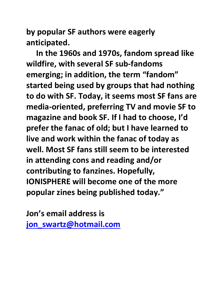**by popular SF authors were eagerly anticipated.**

 **In the 1960s and 1970s, fandom spread like wildfire, with several SF sub-fandoms emerging; in addition, the term "fandom" started being used by groups that had nothing to do with SF. Today, it seems most SF fans are media-oriented, preferring TV and movie SF to magazine and book SF. If I had to choose, I'd prefer the fanac of old; but I have learned to live and work within the fanac of today as well. Most SF fans still seem to be interested in attending cons and reading and/or contributing to fanzines. Hopefully, IONISPHERE will become one of the more popular zines being published today."**

**Jon's email address is [jon\\_swartz@hotmail.com](mailto:jon_swartz@hotmail.com)**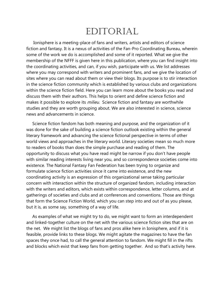### EDITORIAL

 Ionisphere is a meeting-place of fans and writers, artists and editors of science fiction and fantasy. It is a nexus of activities of the Fan-Pro Coordinating Bureau, wherein some of the work we do is accomplished and some of it reported. What we give the membership of the NFFF is given here in this publication, where you can find insight into the coordinating activities, and can, if you wish, participate with us. We list addresses where you may correspond with writers and prominent fans, and we give the location of sites where you can read about them or view their blogs. Its purpose is to stir interaction in the science fiction community which is established by various clubs and organizations within the science fiction field. Here you can learn more about the books you read and discuss them with their authors. This helps to orient and define science fiction and makes it possible to explore its *milieu*. Science fiction and fantasy are worthwhile studies and they are worth grouping about. We are also interested in science, science news and advancements in science.

 Science fiction fandom has both meaning and purpose, and the organization of it was done for the sake of building a science fiction outlook existing within the general literary framework and advancing the science fictional perspective in terms of other world views and approaches in the literary world. Literary societies mean so much more to readers of books than does the simple purchase and reading of them. The opportunity to discuss what you have read might be narrow if you don't have people with similar reading interests living near you, and so correspondence societies come into existence. The National Fantasy Fan Federation has been trying to organize and formulate science fiction activities since it came into existence, and the new coordinating activity is an expression of this organizational sense taking particular concern with interaction within the structure of organized fandom, including interaction with the writers and editors, which exists within correspondence, letter columns, and at gatherings of societies and clubs and at conferences and conventions. Those are things that form the Science Fiction World, which you can step into and out of as you please, but it is, as some say, something of a way of life.

 As examples of what we might try to do, we might want to form an interdependent and linked-together culture on the net with the various science fiction sites that are on the net. We might list the blogs of fans and pros alike here in Ionisphere, and if it is feasible, provide links to these blogs. We might agitate the magazines to have the fan spaces they once had, to call the general attention to fandom. We might fill in the rifts and blocks which exist that keep fans from getting together. And so that's activity here.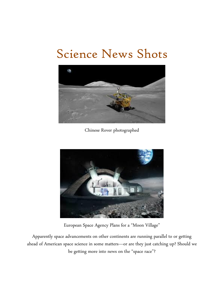### Science News Shots



Chinese Rover photographed



European Space Agency Plans for a "Moon Village"

Apparently space advancements on other continents are running parallel to or getting ahead of American space science in some matters—or are they just catching up? Should we be getting more into news on the "space race"?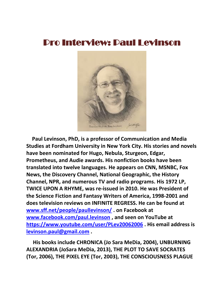### Pro Interview: Paul Levinson



 **Paul Levinson, PhD, is a professor of Communication and Media Studies at Fordham University in New York City. His stories and novels have been nominated for Hugo, Nebula, Sturgeon, Edgar, Prometheus, and Audie awards. His nonfiction books have been translated into twelve languages. He appears on CNN, MSNBC, Fox News, the Discovery Channel, National Geographic, the History Channel, NPR, and numerous TV and radio programs. His 1972 LP, TWICE UPON A RHYME, was re-issued in 2010. He was President of the Science Fiction and Fantasy Writers of America, 1998-2001 and does television reviews on INFINITE REGRESS. He can be found at [www.sff.net/people/paullevinson/](http://www.sff.net/people/paullevinson/) . on Facebook at [www.facebook.com/paul.levinson](http://www.facebook.com/paul.levinson) , and seen on YouTube at <https://www.youtube.com/user/PLev20062006> . His email address is [levinson.paul@gmail.com](mailto:levinson.paul@gmail.com) .**

 **His books include CHRONICA (Jo Sara MeDia, 2004), UNBURNING ALEXANDRIA (JoSara MeDia, 2013), THE PLOT TO SAVE SOCRATES (Tor, 2006), THE PIXEL EYE (Tor, 2003), THE CONSCIOUSNESS PLAGUE**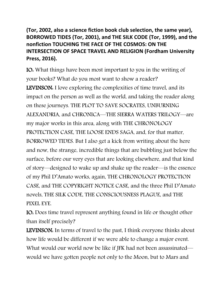**(Tor, 2002, also a science fiction book club selection, the same year), BORROWED TIDES (Tor, 2001), and THE SILK CODE (Tor, 1999), and the nonfiction TOUCHING THE FACE OF THE COSMOS: ON THE INTERSECTION OF SPACE TRAVEL AND RELIGION (Fordham University Press, 2016).**

IO: What things have been most important to you in the writing of your books? What do you most want to show a reader? LEVINSON: I love exploring the complexities of time travel, and its impact on the person as well as the world, and taking the reader along on these journeys. THE PLOT TO SAVE SOCRATES, UNBURNING ALEXANDRIA, and CHRONICA—THE SIERRA WATERS TRILOGY—are my major works in this area, along with THE CHRONOLOGY PROTECTION CASE, THE LOOSE ENDS SAGA, and, for that matter, BORROWED TIDES. But I also get a kick from writing about the here and now, the strange, incredible things that are bubbling just below the surface, before our very eyes that are looking elsewhere, and that kind of story—designed to wake up and shake up the reader—is the essence of my Phil D'Amato works, again, THE CHRONOLOGY PROTECTION CASE, and THE COPYRIGHT NOTICE CASE, and the three Phil D'Amato novels, THE SILK CODE, THE CONSCIOUSNESS PLAGUE, and THE PIXEL EYE.

IO: Does time travel represent anything found in life or thought other than itself precisely?

LEVINSON: In terms of travel to the past, I think everyone thinks about how life would be different if we were able to change a major event. What would our world now be like if JFK had not been assassinated would we have gotten people not only to the Moon, but to Mars and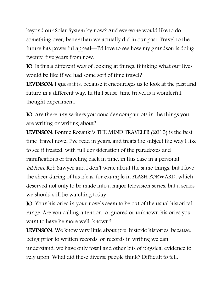beyond our Solar System by now? And everyone would like to do something over, better than we actually did in our past. Travel to the future has powerful appeal—I'd love to see how my grandson is doing twenty-five years from now.

IO: Is this a different way of looking at things, thinking what our lives would be like if we had some sort of time travel?

LEVINSON: I guess it is, because it encourages us to look at the past and future in a different way. In that sense, time travel is a wonderful thought experiment.

IO: Are there any writers you consider compatriots in the things you are writing or writing about?

LEVINSON: Bonnie Rozanki's THE MIND TRAVELER (2015) is the best time-travel novel I've read in years, and treats the subject the way I like to see it treated, with full consideration of the paradoxes and ramifications of traveling back in time, in this case in a personal tableau. Rob Sawyer and I don't write about the same things, but I love the sheer daring of his ideas, for example in FLASH FORWARD, which deserved not only to be made into a major television series, but a series we should still be watching today.

IO: Your histories in your novels seem to be out of the usual historical range. Are you calling attention to ignored or unknown histories you want to have be more well-known?

LEVINSON: We know very little about pre-historic histories, because, being prior to written records, or records in writing we can understand, we have only fossil and other bits of physical evidence to rely upon. What did these diverse people think? Difficult to tell,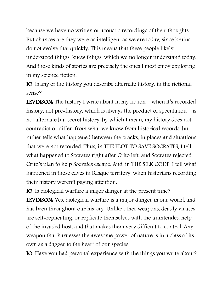because we have no written or acoustic recordings of their thoughts. But chances are they were as intelligent as we are today, since brains do not evolve that quickly. This means that these people likely understood things, knew things, which we no longer understand today. And those kinds of stories are precisely the ones I most enjoy exploring in my science fiction.

IO: Is any of the history you describe alternate history, in the fictional sense?

LEVINSON: The history I write about in my fiction—when it's recorded history, not pre-history, which is always the product of speculation—is not alternate but secret history, by which I mean, my history does not contradict or differ from what we know from historical records, but rather tells what happened between the cracks, in places and situations that were not recorded. Thus, in THE PLOT TO SAVE SOCRATES, I tell what happened to Socrates right after Crito left, and Socrates rejected Crito's plan to help Socrates escape. And, in THE SILK CODE, I tell what happened in those caves in Basque territory, when historians recording their history weren't paying attention.

IO: Is biological warfare a major danger at the present time? LEVINSON: Yes, biological warfare is a major danger in our world, and has been throughout our history. Unlike other weapons, deadly viruses are self-replicating, or replicate themselves with the unintended help of the invaded host, and that makes them very difficult to control. Any weapon that harnesses the awesome power of nature is in a class of its own as a dagger to the heart of our species.

IO: Have you had personal experience with the things you write about?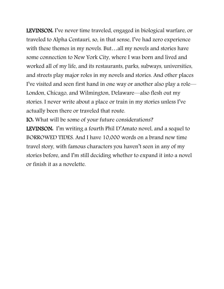LEVINSON: I've never time traveled, engaged in biological warfare, or traveled to Alpha Centauri, so, in that sense, I've had zero experience with these themes in my novels. But…all my novels and stories have some connection to New York City, where I was born and lived and worked all of my life, and its restaurants, parks, subways, universities, and streets play major roles in my novels and stories. And other places I've visited and seen first hand in one way or another also play a role— London, Chicago, and Wilmington, Delaware—also flesh out my stories. I never write about a place or train in my stories unless I've actually been there or traveled that route.

IO: What will be some of your future considerations?

LEVINSON: I'm writing a fourth Phil D'Amato novel, and a sequel to BORROWED TIDES. And I have 10,000 words on a brand new time travel story, with famous characters you haven't seen in any of my stories before, and I'm still deciding whether to expand it into a novel or finish it as a novelette.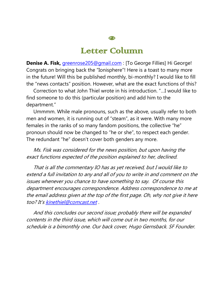### Letter Column

**Denise A. Fisk,** *[greenrose205@gmail.com](mailto:greenrose205@gmail.com)* : [To George Fillies] Hi George! Congrats on bringing back the "Ionisphere"! Here is a toast to many more in the future! Will this be published monthly, bi-monthly? I would like to fill the "news contacts" position. However, what are the exact functions of this?

 Correction to what John Thiel wrote in his introduction. "…I would like to find someone to do this (particular position) and add him to the department."

 Ummmm. While male pronouns, such as the above, usually refer to both men and women, it is running out of "steam", as it were. With many more females in the ranks of so many fandom positions, the collective "he" pronoun should now be changed to "he or she", to respect each gender. The redundant "he" doesn't cover both genders any more.

 Ms. Fisk was considered for the news position, but upon having the exact functions expected of the position explained to her, declined.

 That is all the commentary IO has as yet received, but I would like to extend a full invitation to any and all of you to write in and comment on the issues whenever you chance to have something to say. Of course this department encourages correspondence. Address correspondence to me at the email address given at the top of the first page. Oh, why not give it here too? It's [kinethiel@comcast.net](mailto:kinethiel@comcast.net) .

 And this concludes our second issue; probably there will be expanded contents in the third issue, which will come out in two months, for our schedule is a bimonthly one. Our back cover, Hugo Gernsback. SF Founder.